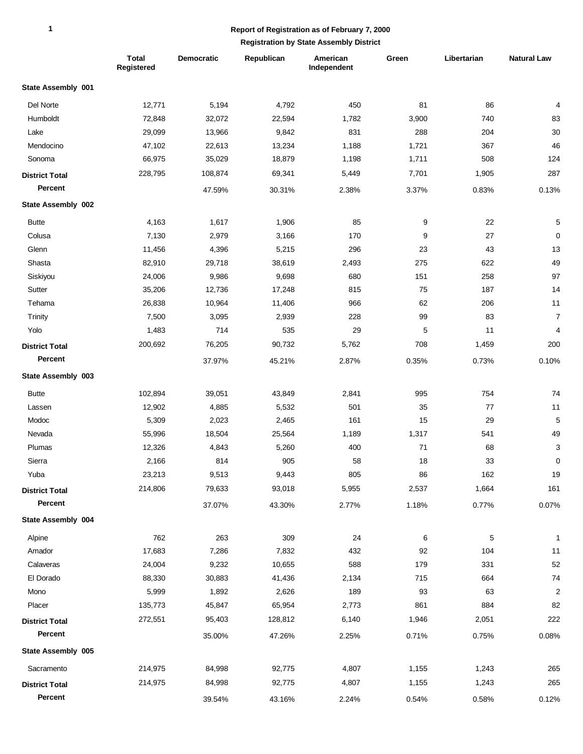### **Report of Registration as of February 7, 2000**

|                       | <b>Total</b><br>Registered | Democratic | Republican | American<br>Independent | Green | Libertarian | <b>Natural Law</b> |
|-----------------------|----------------------------|------------|------------|-------------------------|-------|-------------|--------------------|
| State Assembly 001    |                            |            |            |                         |       |             |                    |
| Del Norte             | 12,771                     | 5,194      | 4,792      | 450                     | 81    | 86          | 4                  |
| Humboldt              | 72,848                     | 32,072     | 22,594     | 1,782                   | 3,900 | 740         | 83                 |
| Lake                  | 29,099                     | 13,966     | 9,842      | 831                     | 288   | 204         | 30                 |
| Mendocino             | 47,102                     | 22,613     | 13,234     | 1,188                   | 1,721 | 367         | 46                 |
| Sonoma                | 66,975                     | 35,029     | 18,879     | 1,198                   | 1,711 | 508         | 124                |
| <b>District Total</b> | 228,795                    | 108,874    | 69,341     | 5,449                   | 7,701 | 1,905       | 287                |
| Percent               |                            | 47.59%     | 30.31%     | 2.38%                   | 3.37% | 0.83%       | 0.13%              |
| State Assembly 002    |                            |            |            |                         |       |             |                    |
| <b>Butte</b>          | 4,163                      | 1,617      | 1,906      | 85                      | 9     | 22          | 5                  |
| Colusa                | 7,130                      | 2,979      | 3,166      | 170                     | 9     | 27          | $\pmb{0}$          |
| Glenn                 | 11,456                     | 4,396      | 5,215      | 296                     | 23    | 43          | 13                 |
| Shasta                | 82,910                     | 29,718     | 38,619     | 2,493                   | 275   | 622         | 49                 |
| Siskiyou              | 24,006                     | 9,986      | 9,698      | 680                     | 151   | 258         | 97                 |
| Sutter                | 35,206                     | 12,736     | 17,248     | 815                     | 75    | 187         | 14                 |
| Tehama                | 26,838                     | 10,964     | 11,406     | 966                     | 62    | 206         | 11                 |
| Trinity               | 7,500                      | 3,095      | 2,939      | 228                     | 99    | 83          | $\overline{7}$     |
| Yolo                  | 1,483                      | 714        | 535        | 29                      | 5     | 11          | 4                  |
| <b>District Total</b> | 200,692                    | 76,205     | 90,732     | 5,762                   | 708   | 1,459       | 200                |
| Percent               |                            | 37.97%     | 45.21%     | 2.87%                   | 0.35% | 0.73%       | 0.10%              |
| State Assembly 003    |                            |            |            |                         |       |             |                    |
| <b>Butte</b>          | 102,894                    | 39,051     | 43,849     | 2,841                   | 995   | 754         | 74                 |
| Lassen                | 12,902                     | 4,885      | 5,532      | 501                     | 35    | 77          | 11                 |
| Modoc                 | 5,309                      | 2,023      | 2,465      | 161                     | 15    | 29          | 5                  |
| Nevada                | 55,996                     | 18,504     | 25,564     | 1,189                   | 1,317 | 541         | 49                 |
| Plumas                | 12,326                     | 4,843      | 5,260      | 400                     | 71    | 68          | 3                  |
| Sierra                | 2,166                      | 814        | 905        | 58                      | 18    | 33          | $\pmb{0}$          |
| Yuba                  | 23,213                     | 9,513      | 9,443      | 805                     | 86    | 162         | 19                 |
| <b>District Total</b> | 214,806                    | 79,633     | 93,018     | 5,955                   | 2,537 | 1,664       | 161                |
| Percent               |                            | 37.07%     | 43.30%     | 2.77%                   | 1.18% | 0.77%       | 0.07%              |
| State Assembly 004    |                            |            |            |                         |       |             |                    |
| Alpine                | 762                        | 263        | 309        | 24                      | 6     | 5           | 1                  |
| Amador                | 17,683                     | 7,286      | 7,832      | 432                     | 92    | 104         | 11                 |
| Calaveras             | 24,004                     | 9,232      | 10,655     | 588                     | 179   | 331         | 52                 |
| El Dorado             | 88,330                     | 30,883     | 41,436     | 2,134                   | 715   | 664         | 74                 |
| Mono                  | 5,999                      | 1,892      | 2,626      | 189                     | 93    | 63          | $\overline{c}$     |
| Placer                | 135,773                    | 45,847     | 65,954     | 2,773                   | 861   | 884         | 82                 |
| <b>District Total</b> | 272,551                    | 95,403     | 128,812    | 6,140                   | 1,946 | 2,051       | 222                |
| Percent               |                            | 35.00%     | 47.26%     | 2.25%                   | 0.71% | 0.75%       | 0.08%              |
| State Assembly 005    |                            |            |            |                         |       |             |                    |
| Sacramento            | 214,975                    | 84,998     | 92,775     | 4,807                   | 1,155 | 1,243       | 265                |
| <b>District Total</b> | 214,975                    | 84,998     | 92,775     | 4,807                   | 1,155 | 1,243       | 265                |
| Percent               |                            | 39.54%     | 43.16%     | 2.24%                   | 0.54% | 0.58%       | 0.12%              |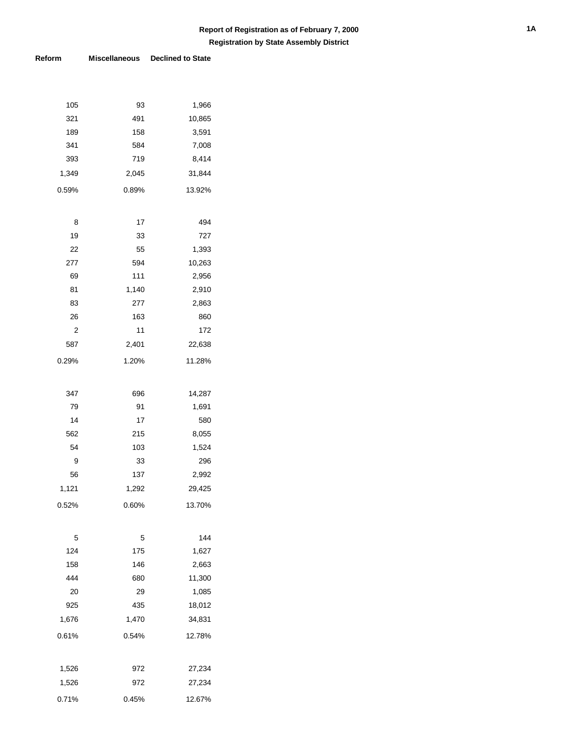| 105     | 93       | 1,966      |
|---------|----------|------------|
| 321     | 491      | 10,865     |
| 189     | 158      | 3,591      |
| 341     | 584      | 7,008      |
| 393     | 719      | 8,414      |
| 1,349   | 2,045    | 31,844     |
| 0.59%   | 0.89%    | 13.92%     |
|         |          |            |
|         |          |            |
| 8<br>19 | 17<br>33 | 494<br>727 |
| 22      | 55       | 1,393      |
| 277     | 594      | 10,263     |
| 69      | 111      | 2,956      |
| 81      | 1,140    | 2,910      |
| 83      | 277      | 2,863      |
| 26      | 163      | 860        |
| 2       | 11       | 172        |
| 587     | 2,401    | 22,638     |
|         |          |            |
| 0.29%   | 1.20%    | 11.28%     |
|         |          |            |
| 347     | 696      | 14,287     |
| 79      | 91       | 1,691      |
| 14      | 17       | 580        |
| 562     | 215      | 8,055      |
| 54      | 103      | 1,524      |
| 9       | 33       | 296        |
| 56      | 137      | 2,992      |
| 1,121   | 1,292    | 29,425     |
| 0.52%   | 0.60%    | 13.70%     |
|         |          |            |
| 5       | 5        | 144        |
| 124     | 175      | 1,627      |
| 158     | 146      | 2,663      |
| 444     | 680      | 11,300     |
| 20      | 29       | 1,085      |
| 925     | 435      | 18,012     |
| 1,676   | 1,470    | 34,831     |
|         |          |            |
| 0.61%   | 0.54%    | 12.78%     |
|         |          |            |
| 1,526   | 972      | 27,234     |
| 1,526   | 972      | 27,234     |
| 0.71%   | 0.45%    | 12.67%     |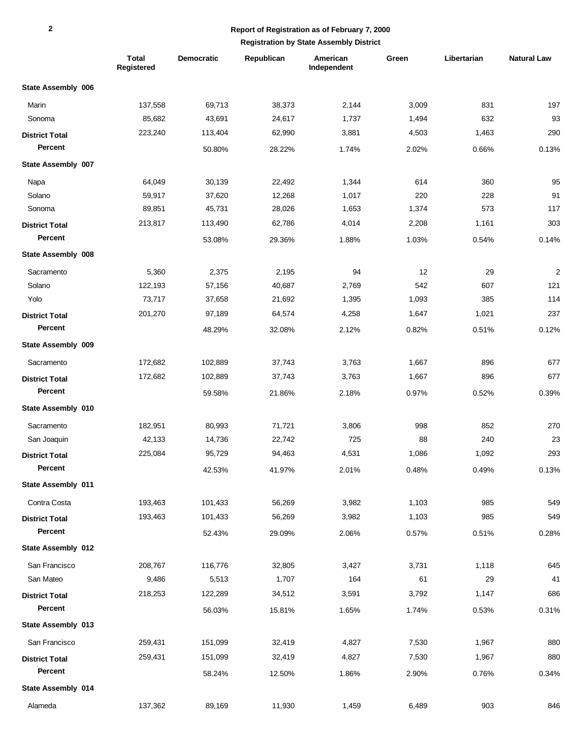|                       | <b>Total</b><br>Registered | <b>Democratic</b> | Republican | American<br>Independent | Green | Libertarian | <b>Natural Law</b> |
|-----------------------|----------------------------|-------------------|------------|-------------------------|-------|-------------|--------------------|
| State Assembly 006    |                            |                   |            |                         |       |             |                    |
| Marin                 | 137,558                    | 69,713            | 38,373     | 2,144                   | 3,009 | 831         | 197                |
| Sonoma                | 85,682                     | 43,691            | 24,617     | 1,737                   | 1,494 | 632         | 93                 |
| <b>District Total</b> | 223,240                    | 113,404           | 62,990     | 3,881                   | 4,503 | 1,463       | 290                |
| Percent               |                            | 50.80%            | 28.22%     | 1.74%                   | 2.02% | 0.66%       | 0.13%              |
| State Assembly 007    |                            |                   |            |                         |       |             |                    |
| Napa                  | 64,049                     | 30,139            | 22,492     | 1,344                   | 614   | 360         | 95                 |
| Solano                | 59,917                     | 37,620            | 12,268     | 1,017                   | 220   | 228         | 91                 |
| Sonoma                | 89,851                     | 45,731            | 28,026     | 1,653                   | 1,374 | 573         | 117                |
| <b>District Total</b> | 213,817                    | 113,490           | 62,786     | 4,014                   | 2,208 | 1,161       | 303                |
| Percent               |                            | 53.08%            | 29.36%     | 1.88%                   | 1.03% | 0.54%       | 0.14%              |
| State Assembly 008    |                            |                   |            |                         |       |             |                    |
| Sacramento            | 5,360                      | 2,375             | 2,195      | 94                      | 12    | 29          | $\overline{c}$     |
| Solano                | 122,193                    | 57,156            | 40,687     | 2,769                   | 542   | 607         | 121                |
| Yolo                  | 73,717                     | 37,658            | 21,692     | 1,395                   | 1,093 | 385         | 114                |
| <b>District Total</b> | 201,270                    | 97,189            | 64,574     | 4,258                   | 1,647 | 1,021       | 237                |
| Percent               |                            | 48.29%            | 32.08%     | 2.12%                   | 0.82% | 0.51%       | 0.12%              |
| State Assembly 009    |                            |                   |            |                         |       |             |                    |
| Sacramento            | 172,682                    | 102,889           | 37,743     | 3,763                   | 1,667 | 896         | 677                |
| <b>District Total</b> | 172,682                    | 102,889           | 37,743     | 3,763                   | 1,667 | 896         | 677                |
| Percent               |                            | 59.58%            | 21.86%     | 2.18%                   | 0.97% | 0.52%       | 0.39%              |
| State Assembly 010    |                            |                   |            |                         |       |             |                    |
| Sacramento            | 182,951                    | 80,993            | 71,721     | 3,806                   | 998   | 852         | 270                |
| San Joaquin           | 42,133                     | 14,736            | 22,742     | 725                     | 88    | 240         | 23                 |
| <b>District Total</b> | 225,084                    | 95,729            | 94,463     | 4,531                   | 1,086 | 1,092       | 293                |
| Percent               |                            | 42.53%            | 41.97%     | 2.01%                   | 0.48% | 0.49%       | 0.13%              |
| State Assembly 011    |                            |                   |            |                         |       |             |                    |
| Contra Costa          | 193,463                    | 101,433           | 56,269     | 3,982                   | 1,103 | 985         | 549                |
| <b>District Total</b> | 193,463                    | 101,433           | 56,269     | 3,982                   | 1,103 | 985         | 549                |
| Percent               |                            | 52.43%            | 29.09%     | 2.06%                   | 0.57% | 0.51%       | 0.28%              |
| State Assembly 012    |                            |                   |            |                         |       |             |                    |
| San Francisco         | 208,767                    | 116,776           | 32,805     | 3,427                   | 3,731 | 1,118       | 645                |
| San Mateo             | 9,486                      | 5,513             | 1,707      | 164                     | 61    | 29          | 41                 |
| <b>District Total</b> | 218,253                    | 122,289           | 34,512     | 3,591                   | 3,792 | 1,147       | 686                |
| Percent               |                            | 56.03%            | 15.81%     | 1.65%                   | 1.74% | 0.53%       | 0.31%              |
| State Assembly 013    |                            |                   |            |                         |       |             |                    |
| San Francisco         | 259,431                    | 151,099           | 32,419     | 4,827                   | 7,530 | 1,967       | 880                |
| <b>District Total</b> | 259,431                    | 151,099           | 32,419     | 4,827                   | 7,530 | 1,967       | 880                |
| Percent               |                            | 58.24%            | 12.50%     | 1.86%                   | 2.90% | 0.76%       | 0.34%              |
| State Assembly 014    |                            |                   |            |                         |       |             |                    |
| Alameda               | 137,362                    | 89,169            | 11,930     | 1,459                   | 6,489 | 903         | 846                |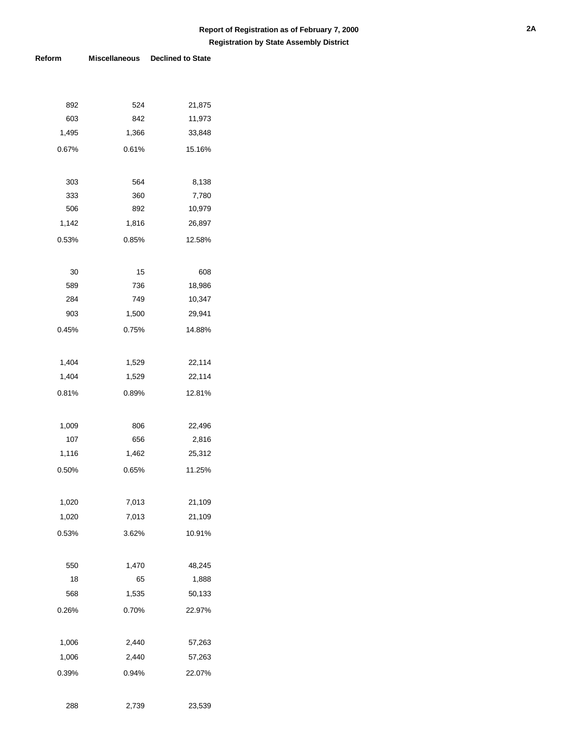| 892   | 524   | 21,875 |
|-------|-------|--------|
| 603   | 842   | 11,973 |
| 1,495 | 1,366 | 33,848 |
| 0.67% | 0.61% | 15.16% |
|       |       |        |
| 303   | 564   | 8,138  |
| 333   | 360   | 7,780  |
| 506   | 892   | 10,979 |
| 1,142 | 1,816 | 26,897 |
| 0.53% | 0.85% | 12.58% |
|       |       |        |
| 30    | 15    | 608    |
| 589   | 736   | 18,986 |
| 284   | 749   | 10,347 |
| 903   | 1,500 | 29,941 |
| 0.45% | 0.75% | 14.88% |
|       |       |        |
| 1,404 | 1,529 | 22,114 |
| 1,404 | 1,529 | 22,114 |
| 0.81% | 0.89% | 12.81% |
|       |       |        |
| 1,009 | 806   | 22,496 |
| 107   | 656   | 2,816  |
| 1,116 | 1,462 | 25,312 |
| 0.50% | 0.65% | 11.25% |
|       |       |        |
| 1,020 | 7,013 | 21,109 |
| 1,020 | 7,013 | 21,109 |
| 0.53% | 3.62% | 10.91% |
|       |       |        |
| 550   | 1,470 | 48,245 |
| 18    | 65    | 1,888  |
| 568   | 1,535 | 50,133 |
| 0.26% | 0.70% | 22.97% |
|       |       |        |
| 1,006 | 2,440 | 57,263 |
| 1,006 | 2,440 | 57,263 |
| 0.39% | 0.94% | 22.07% |
|       |       |        |
| 288   | 2,739 | 23,539 |
|       |       |        |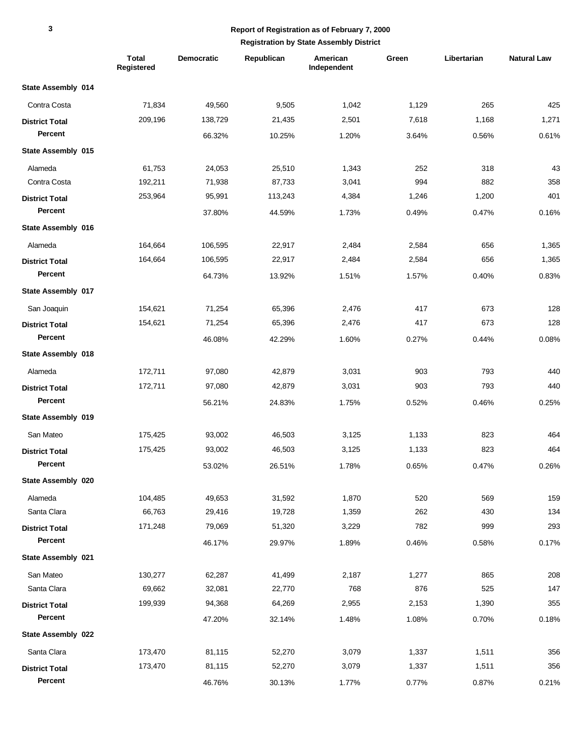|                       | <b>Total</b><br>Registered | <b>Democratic</b> | Republican | American<br>Independent | Green | Libertarian | <b>Natural Law</b> |
|-----------------------|----------------------------|-------------------|------------|-------------------------|-------|-------------|--------------------|
| State Assembly 014    |                            |                   |            |                         |       |             |                    |
| Contra Costa          | 71,834                     | 49,560            | 9,505      | 1,042                   | 1,129 | 265         | 425                |
| <b>District Total</b> | 209,196                    | 138,729           | 21,435     | 2,501                   | 7,618 | 1,168       | 1,271              |
| Percent               |                            | 66.32%            | 10.25%     | 1.20%                   | 3.64% | 0.56%       | 0.61%              |
| State Assembly 015    |                            |                   |            |                         |       |             |                    |
| Alameda               | 61,753                     | 24,053            | 25,510     | 1,343                   | 252   | 318         | 43                 |
| Contra Costa          | 192,211                    | 71,938            | 87,733     | 3,041                   | 994   | 882         | 358                |
| <b>District Total</b> | 253,964                    | 95,991            | 113,243    | 4,384                   | 1,246 | 1,200       | 401                |
| Percent               |                            | 37.80%            | 44.59%     | 1.73%                   | 0.49% | 0.47%       | 0.16%              |
| State Assembly 016    |                            |                   |            |                         |       |             |                    |
| Alameda               | 164,664                    | 106,595           | 22,917     | 2,484                   | 2,584 | 656         | 1,365              |
| <b>District Total</b> | 164,664                    | 106,595           | 22,917     | 2,484                   | 2,584 | 656         | 1,365              |
| Percent               |                            | 64.73%            | 13.92%     | 1.51%                   | 1.57% | 0.40%       | 0.83%              |
| State Assembly 017    |                            |                   |            |                         |       |             |                    |
| San Joaquin           | 154,621                    | 71,254            | 65,396     | 2,476                   | 417   | 673         | 128                |
| <b>District Total</b> | 154,621                    | 71,254            | 65,396     | 2,476                   | 417   | 673         | 128                |
| Percent               |                            | 46.08%            | 42.29%     | 1.60%                   | 0.27% | 0.44%       | 0.08%              |
| State Assembly 018    |                            |                   |            |                         |       |             |                    |
| Alameda               | 172,711                    | 97,080            | 42,879     | 3,031                   | 903   | 793         | 440                |
| <b>District Total</b> | 172,711                    | 97,080            | 42,879     | 3,031                   | 903   | 793         | 440                |
| Percent               |                            | 56.21%            | 24.83%     | 1.75%                   | 0.52% | 0.46%       | 0.25%              |
| State Assembly 019    |                            |                   |            |                         |       |             |                    |
| San Mateo             | 175,425                    | 93,002            | 46,503     | 3,125                   | 1,133 | 823         | 464                |
| <b>District Total</b> | 175,425                    | 93,002            | 46,503     | 3,125                   | 1,133 | 823         | 464                |
| Percent               |                            | 53.02%            | 26.51%     | 1.78%                   | 0.65% | 0.47%       | 0.26%              |
| State Assembly 020    |                            |                   |            |                         |       |             |                    |
| Alameda               | 104,485                    | 49,653            | 31,592     | 1,870                   | 520   | 569         | 159                |
| Santa Clara           | 66,763                     | 29,416            | 19,728     | 1,359                   | 262   | 430         | 134                |
| <b>District Total</b> | 171,248                    | 79,069            | 51,320     | 3,229                   | 782   | 999         | 293                |
| Percent               |                            | 46.17%            | 29.97%     | 1.89%                   | 0.46% | 0.58%       | 0.17%              |
| State Assembly 021    |                            |                   |            |                         |       |             |                    |
| San Mateo             | 130,277                    | 62,287            | 41,499     | 2,187                   | 1,277 | 865         | 208                |
| Santa Clara           | 69,662                     | 32,081            | 22,770     | 768                     | 876   | 525         | 147                |
| <b>District Total</b> | 199,939                    | 94,368            | 64,269     | 2,955                   | 2,153 | 1,390       | 355                |
| Percent               |                            | 47.20%            | 32.14%     | 1.48%                   | 1.08% | 0.70%       | 0.18%              |
| State Assembly 022    |                            |                   |            |                         |       |             |                    |
| Santa Clara           | 173,470                    | 81,115            | 52,270     | 3,079                   | 1,337 | 1,511       | 356                |
| <b>District Total</b> | 173,470                    | 81,115            | 52,270     | 3,079                   | 1,337 | 1,511       | 356                |
| Percent               |                            | 46.76%            | 30.13%     | 1.77%                   | 0.77% | 0.87%       | 0.21%              |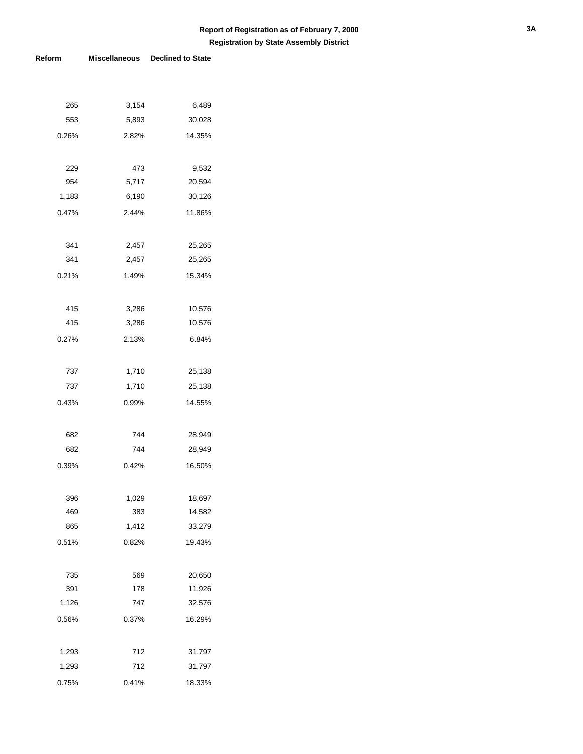| 265   | 3,154 | 6,489  |
|-------|-------|--------|
| 553   | 5,893 | 30,028 |
| 0.26% | 2.82% | 14.35% |
|       |       |        |
| 229   | 473   | 9,532  |
| 954   | 5,717 | 20,594 |
| 1,183 | 6,190 | 30,126 |
| 0.47% | 2.44% | 11.86% |
|       |       |        |
| 341   | 2,457 | 25,265 |
| 341   | 2,457 | 25,265 |
| 0.21% | 1.49% | 15.34% |
|       |       |        |
| 415   | 3,286 | 10,576 |
| 415   | 3,286 | 10,576 |
| 0.27% | 2.13% | 6.84%  |
|       |       |        |
| 737   | 1,710 | 25,138 |
| 737   | 1,710 | 25,138 |
| 0.43% | 0.99% | 14.55% |
|       |       |        |
| 682   | 744   | 28,949 |
| 682   | 744   | 28,949 |
| 0.39% | 0.42% | 16.50% |
|       |       |        |
| 396   | 1,029 | 18,697 |
| 469   | 383   | 14,582 |
| 865   | 1,412 | 33,279 |
| 0.51% | 0.82% | 19.43% |
|       |       |        |
| 735   | 569   | 20,650 |
| 391   | 178   | 11,926 |
| 1,126 | 747   | 32,576 |
| 0.56% | 0.37% | 16.29% |
|       |       |        |
| 1,293 | 712   | 31,797 |
| 1,293 | 712   | 31,797 |
| 0.75% | 0.41% | 18.33% |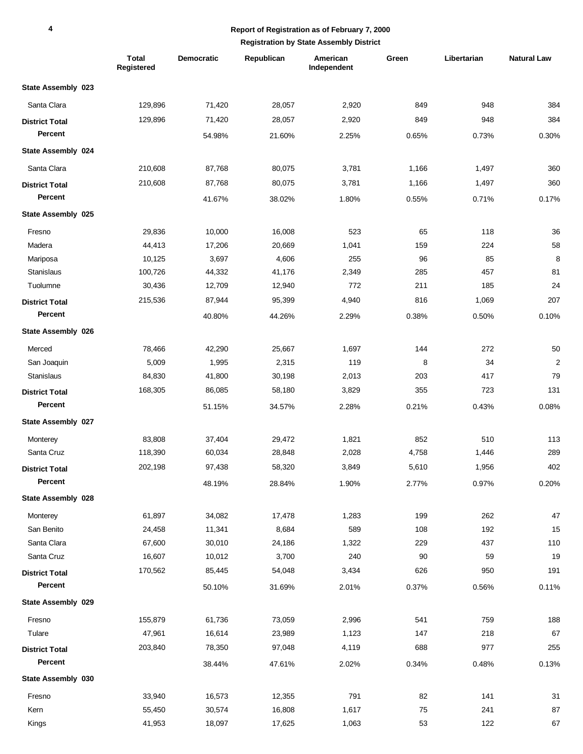## **Report of Registration as of February 7, 2000**

|                       | Total<br>Registered | <b>Democratic</b> | Republican | American<br>Independent | Green | Libertarian | <b>Natural Law</b>      |
|-----------------------|---------------------|-------------------|------------|-------------------------|-------|-------------|-------------------------|
| State Assembly 023    |                     |                   |            |                         |       |             |                         |
| Santa Clara           | 129,896             | 71,420            | 28,057     | 2,920                   | 849   | 948         | 384                     |
| <b>District Total</b> | 129,896             | 71,420            | 28,057     | 2,920                   | 849   | 948         | 384                     |
| Percent               |                     | 54.98%            | 21.60%     | 2.25%                   | 0.65% | 0.73%       | 0.30%                   |
| State Assembly 024    |                     |                   |            |                         |       |             |                         |
| Santa Clara           | 210,608             | 87,768            | 80,075     | 3,781                   | 1,166 | 1,497       | 360                     |
| <b>District Total</b> | 210,608             | 87,768            | 80,075     | 3,781                   | 1,166 | 1,497       | 360                     |
| Percent               |                     | 41.67%            | 38.02%     | 1.80%                   | 0.55% | 0.71%       | 0.17%                   |
| State Assembly 025    |                     |                   |            |                         |       |             |                         |
| Fresno                | 29,836              | 10,000            | 16,008     | 523                     | 65    | 118         | 36                      |
| Madera                | 44,413              | 17,206            | 20,669     | 1,041                   | 159   | 224         | 58                      |
| Mariposa              | 10,125              | 3,697             | 4,606      | 255                     | 96    | 85          | 8                       |
| Stanislaus            | 100,726             | 44,332            | 41,176     | 2,349                   | 285   | 457         | 81                      |
| Tuolumne              | 30,436              | 12,709            | 12,940     | 772                     | 211   | 185         | 24                      |
| <b>District Total</b> | 215,536             | 87,944            | 95,399     | 4,940                   | 816   | 1,069       | 207                     |
| Percent               |                     | 40.80%            | 44.26%     | 2.29%                   | 0.38% | 0.50%       | 0.10%                   |
| State Assembly 026    |                     |                   |            |                         |       |             |                         |
| Merced                | 78,466              | 42,290            | 25,667     | 1,697                   | 144   | 272         | 50                      |
| San Joaquin           | 5,009               | 1,995             | 2,315      | 119                     | 8     | 34          | $\overline{\mathbf{c}}$ |
| Stanislaus            | 84,830              | 41,800            | 30,198     | 2,013                   | 203   | 417         | 79                      |
| <b>District Total</b> | 168,305             | 86,085            | 58,180     | 3,829                   | 355   | 723         | 131                     |
| Percent               |                     | 51.15%            | 34.57%     | 2.28%                   | 0.21% | 0.43%       | 0.08%                   |
| State Assembly 027    |                     |                   |            |                         |       |             |                         |
| Monterey              | 83,808              | 37,404            | 29,472     | 1,821                   | 852   | 510         | 113                     |
| Santa Cruz            | 118,390             | 60,034            | 28,848     | 2,028                   | 4,758 | 1,446       | 289                     |
| <b>District Total</b> | 202,198             | 97,438            | 58,320     | 3,849                   | 5,610 | 1,956       | 402                     |
| Percent               |                     | 48.19%            | 28.84%     | 1.90%                   | 2.77% | 0.97%       | 0.20%                   |
| State Assembly 028    |                     |                   |            |                         |       |             |                         |
| Monterey              | 61,897              | 34,082            | 17,478     | 1,283                   | 199   | 262         | 47                      |
| San Benito            | 24,458              | 11,341            | 8,684      | 589                     | 108   | 192         | 15                      |
| Santa Clara           | 67,600              | 30,010            | 24,186     | 1,322                   | 229   | 437         | 110                     |
| Santa Cruz            | 16,607              | 10,012            | 3,700      | 240                     | 90    | 59          | 19                      |
| <b>District Total</b> | 170,562             | 85,445            | 54,048     | 3,434                   | 626   | 950         | 191                     |
| Percent               |                     | 50.10%            | 31.69%     | 2.01%                   | 0.37% | 0.56%       | 0.11%                   |
| State Assembly 029    |                     |                   |            |                         |       |             |                         |
| Fresno                | 155,879             | 61,736            | 73,059     | 2,996                   | 541   | 759         | 188                     |
| Tulare                | 47,961              | 16,614            | 23,989     | 1,123                   | 147   | 218         | 67                      |
| <b>District Total</b> | 203,840             | 78,350            | 97,048     | 4,119                   | 688   | 977         | 255                     |
| Percent               |                     | 38.44%            | 47.61%     | 2.02%                   | 0.34% | 0.48%       | 0.13%                   |
| State Assembly 030    |                     |                   |            |                         |       |             |                         |
| Fresno                | 33,940              | 16,573            | 12,355     | 791                     | 82    | 141         | 31                      |
| Kern                  | 55,450              | 30,574            | 16,808     | 1,617                   | 75    | 241         | 87                      |
| Kings                 | 41,953              | 18,097            | 17,625     | 1,063                   | 53    | 122         | 67                      |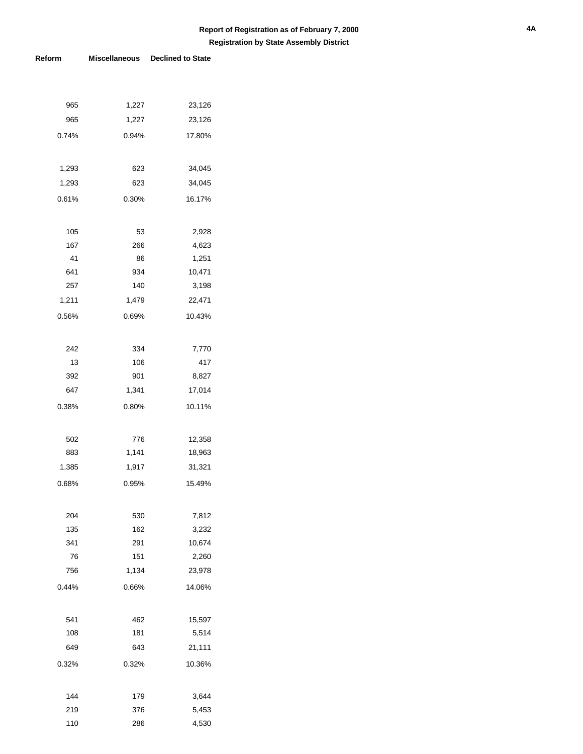| 965   | 1,227 | 23,126 |
|-------|-------|--------|
| 965   | 1,227 | 23,126 |
| 0.74% | 0.94% | 17.80% |
|       |       |        |
| 1,293 | 623   | 34,045 |
| 1,293 | 623   | 34,045 |
| 0.61% | 0.30% | 16.17% |
|       |       |        |
| 105   | 53    | 2,928  |
| 167   | 266   | 4,623  |
| 41    | 86    | 1,251  |
| 641   | 934   | 10,471 |
| 257   | 140   | 3,198  |
| 1,211 | 1,479 | 22,471 |
| 0.56% | 0.69% | 10.43% |
|       |       |        |
| 242   | 334   | 7,770  |
| 13    | 106   | 417    |
| 392   | 901   | 8,827  |
| 647   | 1,341 | 17,014 |
| 0.38% | 0.80% | 10.11% |
|       |       |        |
| 502   | 776   | 12,358 |
| 883   | 1,141 | 18,963 |
| 1,385 | 1,917 | 31,321 |
| 0.68% | 0.95% | 15.49% |
|       |       |        |
| 204   | 530   | 7,812  |
| 135   | 162   | 3,232  |
| 341   | 291   | 10,674 |
| 76    | 151   | 2,260  |
| 756   | 1,134 | 23,978 |
| 0.44% | 0.66% | 14.06% |
|       |       |        |
| 541   | 462   | 15,597 |
| 108   | 181   | 5,514  |
| 649   | 643   | 21,111 |
| 0.32% | 0.32% | 10.36% |
|       |       |        |
| 144   | 179   | 3,644  |
| 219   | 376   | 5,453  |
| 110   | 286   | 4,530  |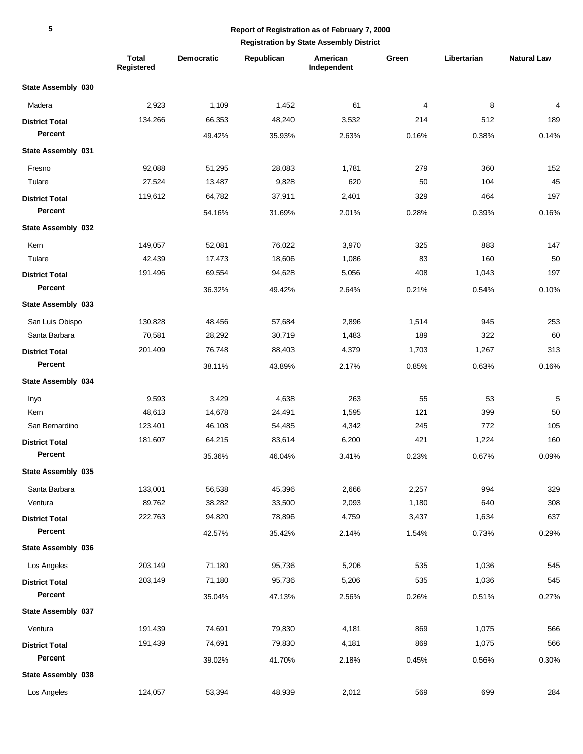|                       | <b>Total</b><br>Registered | Democratic | Republican | American<br>Independent | Green | Libertarian | <b>Natural Law</b> |
|-----------------------|----------------------------|------------|------------|-------------------------|-------|-------------|--------------------|
| State Assembly 030    |                            |            |            |                         |       |             |                    |
| Madera                | 2,923                      | 1,109      | 1,452      | 61                      | 4     | 8           | 4                  |
| <b>District Total</b> | 134,266                    | 66,353     | 48,240     | 3,532                   | 214   | 512         | 189                |
| Percent               |                            | 49.42%     | 35.93%     | 2.63%                   | 0.16% | 0.38%       | 0.14%              |
| State Assembly 031    |                            |            |            |                         |       |             |                    |
| Fresno                | 92,088                     | 51,295     | 28,083     | 1,781                   | 279   | 360         | 152                |
| Tulare                | 27,524                     | 13,487     | 9,828      | 620                     | 50    | 104         | 45                 |
| <b>District Total</b> | 119,612                    | 64,782     | 37,911     | 2,401                   | 329   | 464         | 197                |
| Percent               |                            | 54.16%     | 31.69%     | 2.01%                   | 0.28% | 0.39%       | 0.16%              |
| State Assembly 032    |                            |            |            |                         |       |             |                    |
| Kern                  | 149,057                    | 52,081     | 76,022     | 3,970                   | 325   | 883         | 147                |
| Tulare                | 42,439                     | 17,473     | 18,606     | 1,086                   | 83    | 160         | 50                 |
| <b>District Total</b> | 191,496                    | 69,554     | 94,628     | 5,056                   | 408   | 1,043       | 197                |
| Percent               |                            | 36.32%     | 49.42%     | 2.64%                   | 0.21% | 0.54%       | 0.10%              |
| State Assembly 033    |                            |            |            |                         |       |             |                    |
| San Luis Obispo       | 130,828                    | 48,456     | 57,684     | 2,896                   | 1,514 | 945         | 253                |
| Santa Barbara         | 70,581                     | 28,292     | 30,719     | 1,483                   | 189   | 322         | 60                 |
| <b>District Total</b> | 201,409                    | 76,748     | 88,403     | 4,379                   | 1,703 | 1,267       | 313                |
| Percent               |                            | 38.11%     | 43.89%     | 2.17%                   | 0.85% | 0.63%       | 0.16%              |
| State Assembly 034    |                            |            |            |                         |       |             |                    |
| Inyo                  | 9,593                      | 3,429      | 4,638      | 263                     | 55    | 53          | 5                  |
| Kern                  | 48,613                     | 14,678     | 24,491     | 1,595                   | 121   | 399         | 50                 |
| San Bernardino        | 123,401                    | 46,108     | 54,485     | 4,342                   | 245   | 772         | 105                |
| <b>District Total</b> | 181,607                    | 64,215     | 83,614     | 6,200                   | 421   | 1,224       | 160                |
| Percent               |                            | 35.36%     | 46.04%     | 3.41%                   | 0.23% | 0.67%       | 0.09%              |
| State Assembly 035    |                            |            |            |                         |       |             |                    |
| Santa Barbara         | 133,001                    | 56,538     | 45,396     | 2,666                   | 2,257 | 994         | 329                |
| Ventura               | 89,762                     | 38,282     | 33,500     | 2,093                   | 1,180 | 640         | 308                |
| <b>District Total</b> | 222,763                    | 94,820     | 78,896     | 4,759                   | 3,437 | 1,634       | 637                |
| Percent               |                            | 42.57%     | 35.42%     | 2.14%                   | 1.54% | 0.73%       | 0.29%              |
| State Assembly 036    |                            |            |            |                         |       |             |                    |
| Los Angeles           | 203,149                    | 71,180     | 95,736     | 5,206                   | 535   | 1,036       | 545                |
| <b>District Total</b> | 203,149                    | 71,180     | 95,736     | 5,206                   | 535   | 1,036       | 545                |
| Percent               |                            | 35.04%     | 47.13%     | 2.56%                   | 0.26% | 0.51%       | 0.27%              |
| State Assembly 037    |                            |            |            |                         |       |             |                    |
| Ventura               | 191,439                    | 74,691     | 79,830     | 4,181                   | 869   | 1,075       | 566                |
| <b>District Total</b> | 191,439                    | 74,691     | 79,830     | 4,181                   | 869   | 1,075       | 566                |
| Percent               |                            | 39.02%     | 41.70%     | 2.18%                   | 0.45% | 0.56%       | 0.30%              |
| State Assembly 038    |                            |            |            |                         |       |             |                    |
| Los Angeles           | 124,057                    | 53,394     | 48,939     | 2,012                   | 569   | 699         | 284                |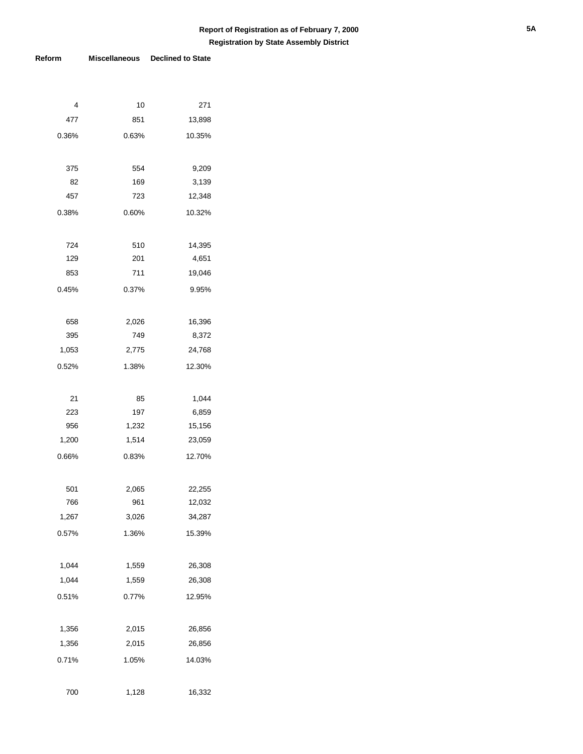| 4     | 10    | 271    |
|-------|-------|--------|
| 477   | 851   | 13,898 |
| 0.36% | 0.63% | 10.35% |
|       |       |        |
| 375   | 554   | 9,209  |
| 82    | 169   | 3,139  |
| 457   | 723   | 12,348 |
| 0.38% | 0.60% | 10.32% |
|       |       |        |
| 724   | 510   | 14,395 |
| 129   | 201   | 4,651  |
| 853   | 711   | 19,046 |
| 0.45% | 0.37% | 9.95%  |
|       |       |        |
| 658   | 2,026 | 16,396 |
| 395   | 749   | 8,372  |
| 1,053 | 2,775 | 24,768 |
| 0.52% | 1.38% | 12.30% |
|       |       |        |
| 21    | 85    | 1,044  |
| 223   | 197   | 6,859  |
| 956   | 1,232 | 15,156 |
| 1,200 | 1,514 | 23,059 |
| 0.66% | 0.83% | 12.70% |
|       |       |        |
| 501   | 2,065 | 22,255 |
| 766   | 961   | 12,032 |
| 1,267 | 3,026 | 34,287 |
| 0.57% | 1.36% | 15.39% |
|       |       |        |
| 1,044 | 1,559 | 26,308 |
| 1,044 | 1,559 | 26,308 |
| 0.51% | 0.77% | 12.95% |
|       |       |        |
| 1,356 | 2,015 | 26,856 |
| 1,356 | 2,015 | 26,856 |
|       |       |        |
| 0.71% | 1.05% | 14.03% |
|       |       |        |
| 700   | 1,128 | 16,332 |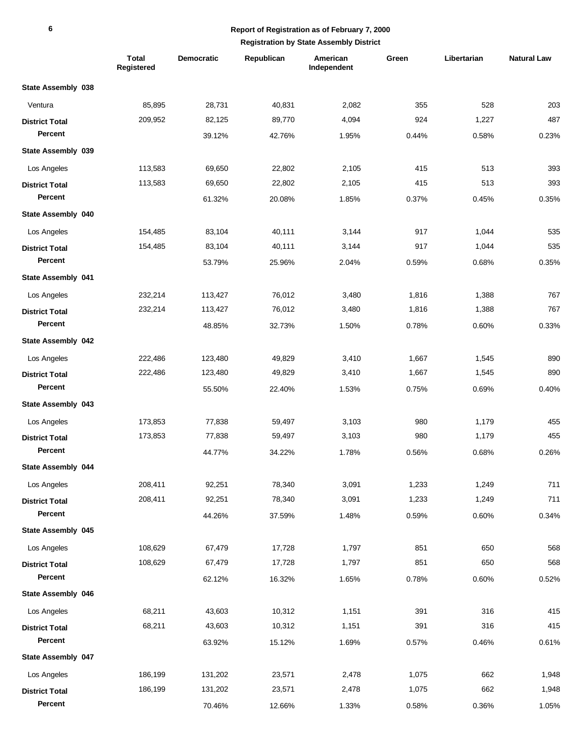|                       | <b>Total</b><br>Registered | <b>Democratic</b> | Republican | American<br>Independent | Green | Libertarian | <b>Natural Law</b> |
|-----------------------|----------------------------|-------------------|------------|-------------------------|-------|-------------|--------------------|
| State Assembly 038    |                            |                   |            |                         |       |             |                    |
| Ventura               | 85,895                     | 28,731            | 40,831     | 2,082                   | 355   | 528         | 203                |
| <b>District Total</b> | 209,952                    | 82,125            | 89,770     | 4,094                   | 924   | 1,227       | 487                |
| Percent               |                            | 39.12%            | 42.76%     | 1.95%                   | 0.44% | 0.58%       | 0.23%              |
| State Assembly 039    |                            |                   |            |                         |       |             |                    |
| Los Angeles           | 113,583                    | 69,650            | 22,802     | 2,105                   | 415   | 513         | 393                |
| <b>District Total</b> | 113,583                    | 69,650            | 22,802     | 2,105                   | 415   | 513         | 393                |
| Percent               |                            | 61.32%            | 20.08%     | 1.85%                   | 0.37% | 0.45%       | 0.35%              |
| State Assembly 040    |                            |                   |            |                         |       |             |                    |
| Los Angeles           | 154,485                    | 83,104            | 40,111     | 3,144                   | 917   | 1,044       | 535                |
| <b>District Total</b> | 154,485                    | 83,104            | 40,111     | 3,144                   | 917   | 1,044       | 535                |
| Percent               |                            | 53.79%            | 25.96%     | 2.04%                   | 0.59% | 0.68%       | 0.35%              |
| State Assembly 041    |                            |                   |            |                         |       |             |                    |
| Los Angeles           | 232,214                    | 113,427           | 76,012     | 3,480                   | 1,816 | 1,388       | 767                |
| <b>District Total</b> | 232,214                    | 113,427           | 76,012     | 3,480                   | 1,816 | 1,388       | 767                |
| Percent               |                            | 48.85%            | 32.73%     | 1.50%                   | 0.78% | 0.60%       | 0.33%              |
| State Assembly 042    |                            |                   |            |                         |       |             |                    |
| Los Angeles           | 222,486                    | 123,480           | 49,829     | 3,410                   | 1,667 | 1,545       | 890                |
| <b>District Total</b> | 222,486                    | 123,480           | 49,829     | 3,410                   | 1,667 | 1,545       | 890                |
| Percent               |                            | 55.50%            | 22.40%     | 1.53%                   | 0.75% | 0.69%       | 0.40%              |
| State Assembly 043    |                            |                   |            |                         |       |             |                    |
| Los Angeles           | 173,853                    | 77,838            | 59,497     | 3,103                   | 980   | 1,179       | 455                |
| <b>District Total</b> | 173,853                    | 77,838            | 59,497     | 3,103                   | 980   | 1,179       | 455                |
| Percent               |                            | 44.77%            | 34.22%     | 1.78%                   | 0.56% | 0.68%       | 0.26%              |
| State Assembly 044    |                            |                   |            |                         |       |             |                    |
| Los Angeles           | 208,411                    | 92,251            | 78,340     | 3,091                   | 1,233 | 1,249       | 711                |
| <b>District Total</b> | 208,411                    | 92,251            | 78,340     | 3,091                   | 1,233 | 1,249       | 711                |
| Percent               |                            | 44.26%            | 37.59%     | 1.48%                   | 0.59% | 0.60%       | 0.34%              |
| State Assembly 045    |                            |                   |            |                         |       |             |                    |
| Los Angeles           | 108,629                    | 67,479            | 17,728     | 1,797                   | 851   | 650         | 568                |
| <b>District Total</b> | 108,629                    | 67,479            | 17,728     | 1,797                   | 851   | 650         | 568                |
| Percent               |                            | 62.12%            | 16.32%     | 1.65%                   | 0.78% | 0.60%       | 0.52%              |
| State Assembly 046    |                            |                   |            |                         |       |             |                    |
| Los Angeles           | 68,211                     | 43,603            | 10,312     | 1,151                   | 391   | 316         | 415                |
| <b>District Total</b> | 68,211                     | 43,603            | 10,312     | 1,151                   | 391   | 316         | 415                |
| Percent               |                            | 63.92%            | 15.12%     | 1.69%                   | 0.57% | 0.46%       | 0.61%              |
| State Assembly 047    |                            |                   |            |                         |       |             |                    |
| Los Angeles           | 186,199                    | 131,202           | 23,571     | 2,478                   | 1,075 | 662         | 1,948              |
| <b>District Total</b> | 186,199                    | 131,202           | 23,571     | 2,478                   | 1,075 | 662         | 1,948              |
| Percent               |                            | 70.46%            | 12.66%     | 1.33%                   | 0.58% | 0.36%       | 1.05%              |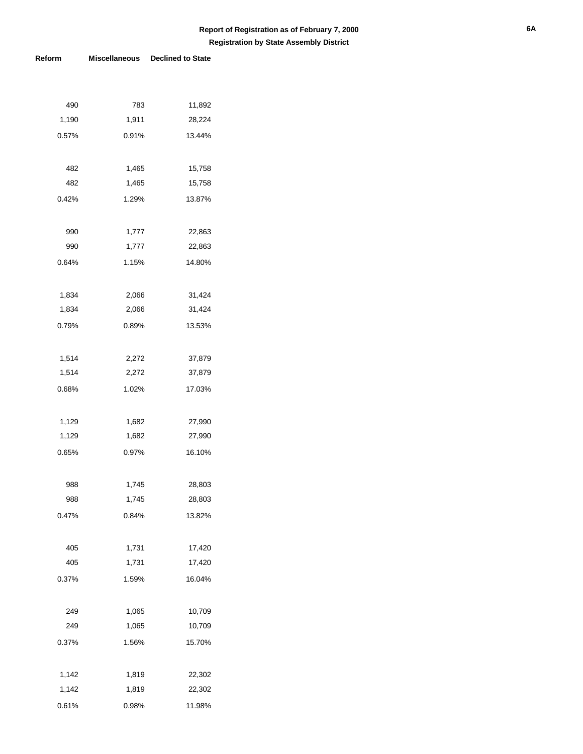| 490   | 783   | 11,892 |
|-------|-------|--------|
| 1,190 | 1,911 | 28,224 |
| 0.57% | 0.91% | 13.44% |
|       |       |        |
| 482   | 1,465 | 15,758 |
| 482   | 1,465 | 15,758 |
| 0.42% | 1.29% | 13.87% |
|       |       |        |
| 990   | 1,777 | 22,863 |
| 990   | 1,777 | 22,863 |
| 0.64% | 1.15% | 14.80% |
|       |       |        |
| 1,834 | 2,066 | 31,424 |
| 1,834 | 2,066 | 31,424 |
| 0.79% | 0.89% | 13.53% |
|       |       |        |
| 1,514 | 2,272 | 37,879 |
| 1,514 | 2,272 | 37,879 |
| 0.68% | 1.02% | 17.03% |
|       |       |        |
| 1,129 | 1,682 | 27,990 |
| 1,129 | 1,682 | 27,990 |
| 0.65% | 0.97% | 16.10% |
|       |       |        |
| 988   | 1,745 | 28,803 |
| 988   | 1,745 | 28,803 |
| 0.47% | 0.84% | 13.82% |
|       |       |        |
| 405   | 1,731 | 17,420 |
| 405   | 1,731 | 17,420 |
| 0.37% | 1.59% | 16.04% |
|       |       |        |
| 249   | 1,065 | 10,709 |
| 249   | 1,065 | 10,709 |
| 0.37% | 1.56% | 15.70% |
|       |       |        |
| 1,142 | 1,819 | 22,302 |
| 1,142 | 1,819 | 22,302 |
| 0.61% | 0.98% | 11.98% |
|       |       |        |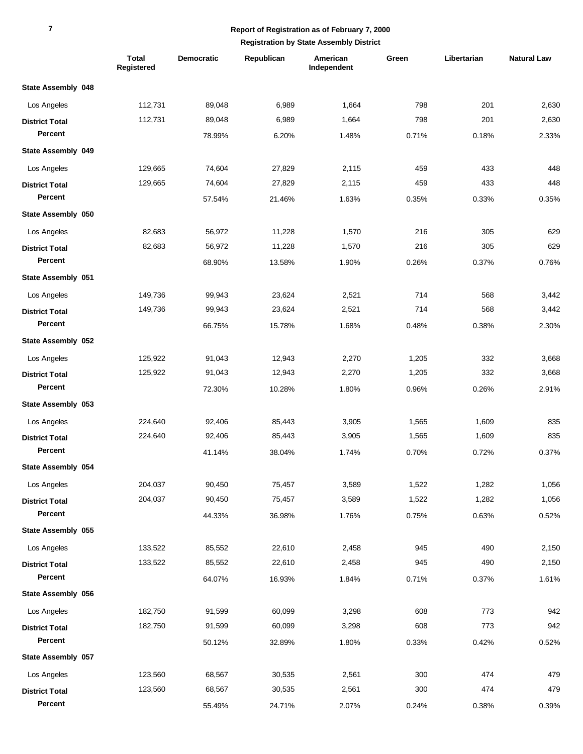### **Report of Registration as of February 7, 2000**

|                       | <b>Total</b><br>Registered | <b>Democratic</b> | Republican | American<br>Independent | Green | Libertarian | <b>Natural Law</b> |
|-----------------------|----------------------------|-------------------|------------|-------------------------|-------|-------------|--------------------|
| State Assembly 048    |                            |                   |            |                         |       |             |                    |
| Los Angeles           | 112.731                    | 89,048            | 6,989      | 1,664                   | 798   | 201         | 2,630              |
| <b>District Total</b> | 112,731                    | 89,048            | 6,989      | 1,664                   | 798   | 201         | 2,630              |
| Percent               |                            | 78.99%            | 6.20%      | 1.48%                   | 0.71% | 0.18%       | 2.33%              |
| State Assembly 049    |                            |                   |            |                         |       |             |                    |
| Los Angeles           | 129,665                    | 74,604            | 27,829     | 2,115                   | 459   | 433         | 448                |
| <b>District Total</b> | 129,665                    | 74,604            | 27,829     | 2,115                   | 459   | 433         | 448                |
| Percent               |                            | 57.54%            | 21.46%     | 1.63%                   | 0.35% | 0.33%       | 0.35%              |
| State Assembly 050    |                            |                   |            |                         |       |             |                    |
| Los Angeles           | 82,683                     | 56,972            | 11,228     | 1,570                   | 216   | 305         | 629                |
| <b>District Total</b> | 82,683                     | 56,972            | 11,228     | 1,570                   | 216   | 305         | 629                |
| Percent               |                            | 68.90%            | 13.58%     | 1.90%                   | 0.26% | 0.37%       | 0.76%              |
| State Assembly 051    |                            |                   |            |                         |       |             |                    |
| Los Angeles           | 149,736                    | 99,943            | 23,624     | 2,521                   | 714   | 568         | 3,442              |
| <b>District Total</b> | 149,736                    | 99,943            | 23,624     | 2,521                   | 714   | 568         | 3,442              |
| Percent               |                            | 66.75%            | 15.78%     | 1.68%                   | 0.48% | 0.38%       | 2.30%              |
| State Assembly 052    |                            |                   |            |                         |       |             |                    |
| Los Angeles           | 125,922                    | 91,043            | 12,943     | 2,270                   | 1,205 | 332         | 3,668              |
| <b>District Total</b> | 125,922                    | 91,043            | 12,943     | 2,270                   | 1,205 | 332         | 3,668              |
| Percent               |                            | 72.30%            | 10.28%     | 1.80%                   | 0.96% | 0.26%       | 2.91%              |
| State Assembly 053    |                            |                   |            |                         |       |             |                    |
| Los Angeles           | 224,640                    | 92,406            | 85,443     | 3,905                   | 1,565 | 1,609       | 835                |
| <b>District Total</b> | 224,640                    | 92,406            | 85,443     | 3,905                   | 1,565 | 1,609       | 835                |
| Percent               |                            | 41.14%            | 38.04%     | 1.74%                   | 0.70% | 0.72%       | 0.37%              |
| State Assembly 054    |                            |                   |            |                         |       |             |                    |
| Los Angeles           | 204,037                    | 90,450            | 75,457     | 3,589                   | 1,522 | 1,282       | 1,056              |
| <b>District Total</b> | 204,037                    | 90,450            | 75,457     | 3,589                   | 1,522 | 1,282       | 1,056              |
| Percent               |                            | 44.33%            | 36.98%     | 1.76%                   | 0.75% | 0.63%       | 0.52%              |
| State Assembly 055    |                            |                   |            |                         |       |             |                    |
| Los Angeles           | 133,522                    | 85,552            | 22,610     | 2,458                   | 945   | 490         | 2,150              |
| <b>District Total</b> | 133,522                    | 85,552            | 22,610     | 2,458                   | 945   | 490         | 2,150              |
| Percent               |                            | 64.07%            | 16.93%     | 1.84%                   | 0.71% | 0.37%       | 1.61%              |
| State Assembly 056    |                            |                   |            |                         |       |             |                    |
| Los Angeles           | 182,750                    | 91,599            | 60,099     | 3,298                   | 608   | 773         | 942                |
| <b>District Total</b> | 182,750                    | 91,599            | 60,099     | 3,298                   | 608   | 773         | 942                |
| Percent               |                            | 50.12%            | 32.89%     | 1.80%                   | 0.33% | 0.42%       | 0.52%              |
| State Assembly 057    |                            |                   |            |                         |       |             |                    |
| Los Angeles           | 123,560                    | 68,567            | 30,535     | 2,561                   | 300   | 474         | 479                |
| <b>District Total</b> | 123,560                    | 68,567            | 30,535     | 2,561                   | 300   | 474         | 479                |
| Percent               |                            | 55.49%            | 24.71%     | 2.07%                   | 0.24% | 0.38%       | 0.39%              |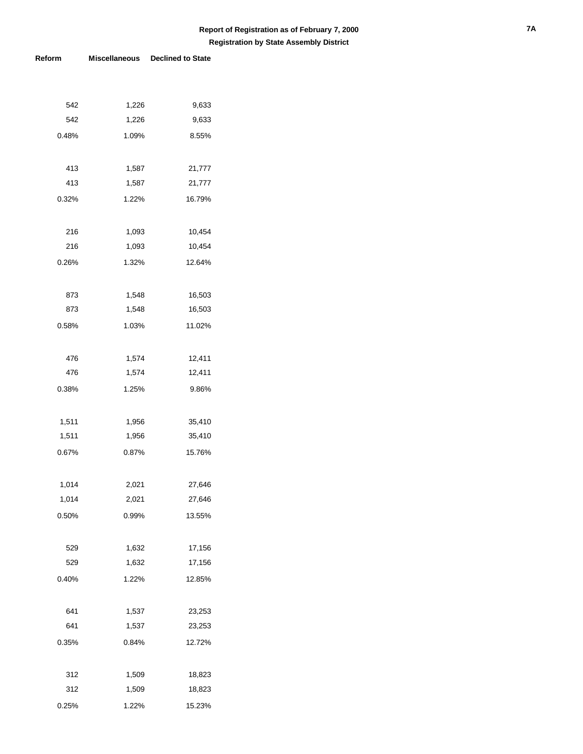| 542   | 1,226 | 9,633  |
|-------|-------|--------|
| 542   | 1,226 | 9,633  |
| 0.48% | 1.09% | 8.55%  |
|       |       |        |
| 413   | 1,587 | 21,777 |
| 413   | 1,587 | 21,777 |
| 0.32% | 1.22% | 16.79% |
|       |       |        |
| 216   | 1,093 | 10,454 |
| 216   | 1,093 | 10,454 |
| 0.26% | 1.32% | 12.64% |
|       |       |        |
| 873   | 1,548 | 16,503 |
| 873   | 1,548 | 16,503 |
| 0.58% | 1.03% | 11.02% |
|       |       |        |
| 476   | 1,574 | 12,411 |
| 476   | 1,574 | 12,411 |
| 0.38% | 1.25% | 9.86%  |
|       |       |        |
| 1,511 | 1,956 | 35,410 |
| 1,511 | 1,956 | 35,410 |
| 0.67% | 0.87% | 15.76% |
|       |       |        |
| 1,014 | 2,021 | 27,646 |
| 1,014 | 2,021 | 27,646 |
| 0.50% | 0.99% | 13.55% |
|       |       |        |
| 529   | 1,632 | 17,156 |
| 529   | 1,632 | 17,156 |
| 0.40% | 1.22% | 12.85% |
|       |       |        |
| 641   | 1,537 | 23,253 |
| 641   | 1,537 | 23,253 |
| 0.35% | 0.84% | 12.72% |
|       |       |        |
| 312   | 1,509 | 18,823 |
| 312   | 1,509 | 18,823 |
| 0.25% | 1.22% | 15.23% |
|       |       |        |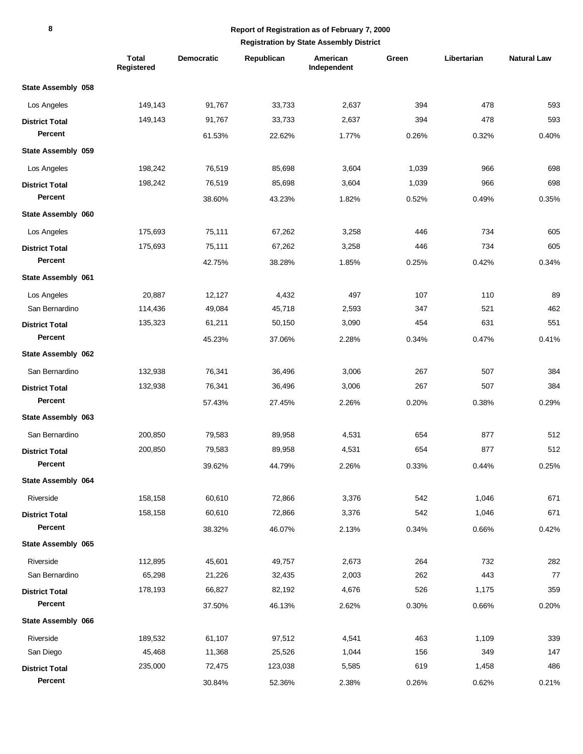## **Report of Registration as of February 7, 2000**

|                       | <b>Total</b><br>Registered | <b>Democratic</b> | Republican | American<br>Independent | Green | Libertarian | <b>Natural Law</b> |
|-----------------------|----------------------------|-------------------|------------|-------------------------|-------|-------------|--------------------|
| State Assembly 058    |                            |                   |            |                         |       |             |                    |
| Los Angeles           | 149,143                    | 91,767            | 33,733     | 2,637                   | 394   | 478         | 593                |
| <b>District Total</b> | 149,143                    | 91,767            | 33,733     | 2,637                   | 394   | 478         | 593                |
| Percent               |                            | 61.53%            | 22.62%     | 1.77%                   | 0.26% | 0.32%       | 0.40%              |
| State Assembly 059    |                            |                   |            |                         |       |             |                    |
| Los Angeles           | 198,242                    | 76,519            | 85,698     | 3,604                   | 1,039 | 966         | 698                |
| <b>District Total</b> | 198,242                    | 76,519            | 85,698     | 3,604                   | 1,039 | 966         | 698                |
| Percent               |                            | 38.60%            | 43.23%     | 1.82%                   | 0.52% | 0.49%       | 0.35%              |
| State Assembly 060    |                            |                   |            |                         |       |             |                    |
| Los Angeles           | 175,693                    | 75,111            | 67,262     | 3,258                   | 446   | 734         | 605                |
| <b>District Total</b> | 175,693                    | 75,111            | 67,262     | 3,258                   | 446   | 734         | 605                |
| Percent               |                            | 42.75%            | 38.28%     | 1.85%                   | 0.25% | 0.42%       | 0.34%              |
| State Assembly 061    |                            |                   |            |                         |       |             |                    |
| Los Angeles           | 20,887                     | 12,127            | 4,432      | 497                     | 107   | 110         | 89                 |
| San Bernardino        | 114,436                    | 49,084            | 45,718     | 2,593                   | 347   | 521         | 462                |
| <b>District Total</b> | 135,323                    | 61,211            | 50,150     | 3,090                   | 454   | 631         | 551                |
| Percent               |                            | 45.23%            | 37.06%     | 2.28%                   | 0.34% | 0.47%       | 0.41%              |
| State Assembly 062    |                            |                   |            |                         |       |             |                    |
| San Bernardino        | 132,938                    | 76,341            | 36,496     | 3,006                   | 267   | 507         | 384                |
| <b>District Total</b> | 132,938                    | 76,341            | 36,496     | 3,006                   | 267   | 507         | 384                |
| Percent               |                            | 57.43%            | 27.45%     | 2.26%                   | 0.20% | 0.38%       | 0.29%              |
| State Assembly 063    |                            |                   |            |                         |       |             |                    |
| San Bernardino        | 200,850                    | 79,583            | 89,958     | 4,531                   | 654   | 877         | 512                |
| <b>District Total</b> | 200,850                    | 79,583            | 89,958     | 4,531                   | 654   | 877         | 512                |
| Percent               |                            | 39.62%            | 44.79%     | 2.26%                   | 0.33% | 0.44%       | 0.25%              |
| State Assembly 064    |                            |                   |            |                         |       |             |                    |
| Riverside             | 158,158                    | 60,610            | 72,866     | 3,376                   | 542   | 1,046       | 671                |
| <b>District Total</b> | 158,158                    | 60,610            | 72,866     | 3,376                   | 542   | 1,046       | 671                |
| Percent               |                            | 38.32%            | 46.07%     | 2.13%                   | 0.34% | 0.66%       | 0.42%              |
| State Assembly 065    |                            |                   |            |                         |       |             |                    |
| Riverside             | 112,895                    | 45,601            | 49,757     | 2,673                   | 264   | 732         | 282                |
| San Bernardino        | 65,298                     | 21,226            | 32,435     | 2,003                   | 262   | 443         | 77                 |
| <b>District Total</b> | 178,193                    | 66,827            | 82,192     | 4,676                   | 526   | 1,175       | 359                |
| Percent               |                            | 37.50%            | 46.13%     | 2.62%                   | 0.30% | 0.66%       | 0.20%              |
| State Assembly 066    |                            |                   |            |                         |       |             |                    |
| Riverside             | 189,532                    | 61,107            | 97,512     | 4,541                   | 463   | 1,109       | 339                |
| San Diego             | 45,468                     | 11,368            | 25,526     | 1,044                   | 156   | 349         | 147                |
| <b>District Total</b> | 235,000                    | 72,475            | 123,038    | 5,585                   | 619   | 1,458       | 486                |
| Percent               |                            | 30.84%            | 52.36%     | 2.38%                   | 0.26% | 0.62%       | 0.21%              |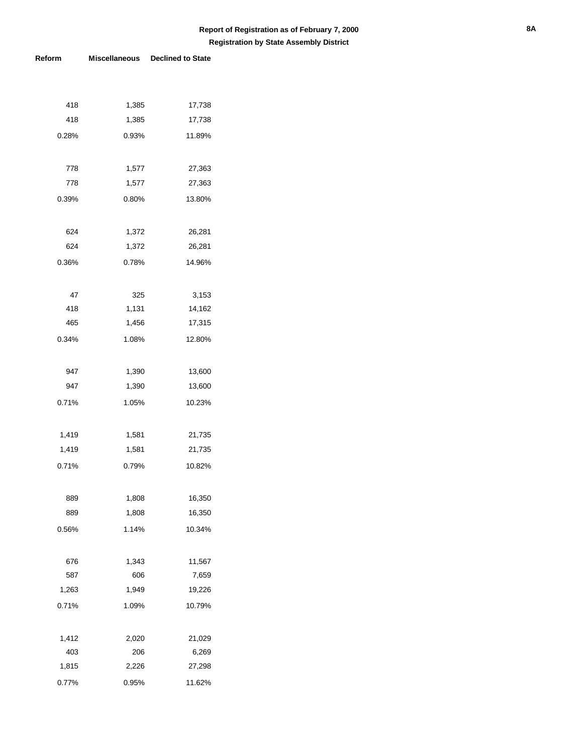| 418   | 1,385 | 17,738 |
|-------|-------|--------|
| 418   | 1,385 | 17,738 |
| 0.28% | 0.93% | 11.89% |
|       |       |        |
| 778   | 1,577 | 27,363 |
| 778   | 1,577 | 27,363 |
| 0.39% | 0.80% | 13.80% |
|       |       |        |
| 624   | 1,372 | 26,281 |
| 624   | 1,372 | 26,281 |
| 0.36% | 0.78% | 14.96% |
|       |       |        |
| 47    | 325   | 3,153  |
| 418   | 1,131 | 14,162 |
| 465   | 1,456 | 17,315 |
| 0.34% | 1.08% | 12.80% |
|       |       |        |
| 947   | 1,390 | 13,600 |
| 947   | 1,390 | 13,600 |
| 0.71% | 1.05% | 10.23% |
|       |       |        |
| 1,419 | 1,581 | 21,735 |
| 1,419 | 1,581 | 21,735 |
| 0.71% | 0.79% | 10.82% |
|       |       |        |
| 889   | 1,808 | 16,350 |
| 889   | 1,808 | 16,350 |
| 0.56% | 1.14% | 10.34% |
|       |       |        |
| 676   | 1,343 | 11,567 |
| 587   | 606   | 7,659  |
| 1,263 | 1,949 | 19,226 |
| 0.71% | 1.09% | 10.79% |
|       |       |        |
| 1,412 | 2,020 | 21,029 |
| 403   | 206   | 6,269  |
| 1,815 | 2,226 | 27,298 |
| 0.77% | 0.95% | 11.62% |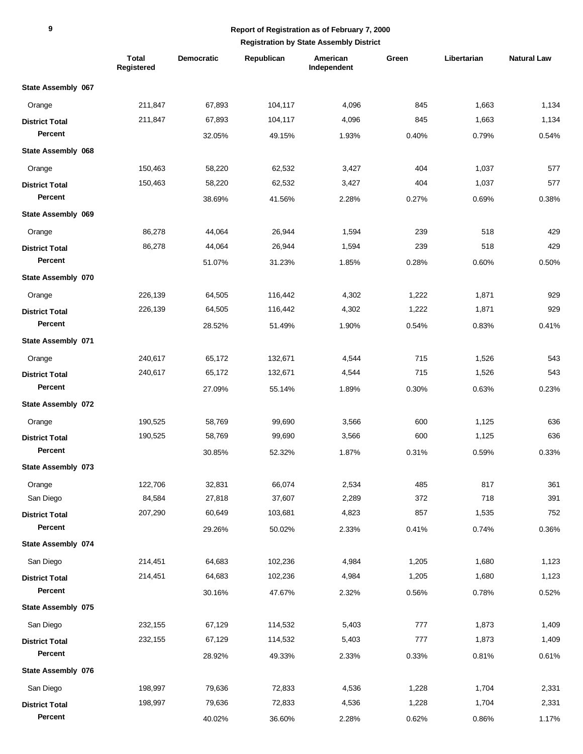|                       | <b>Total</b><br>Registered | Democratic | Republican | American<br>Independent | Green | Libertarian | <b>Natural Law</b> |
|-----------------------|----------------------------|------------|------------|-------------------------|-------|-------------|--------------------|
| State Assembly 067    |                            |            |            |                         |       |             |                    |
| Orange                | 211,847                    | 67,893     | 104,117    | 4,096                   | 845   | 1,663       | 1,134              |
| <b>District Total</b> | 211,847                    | 67,893     | 104,117    | 4,096                   | 845   | 1,663       | 1,134              |
| Percent               |                            | 32.05%     | 49.15%     | 1.93%                   | 0.40% | 0.79%       | 0.54%              |
| State Assembly 068    |                            |            |            |                         |       |             |                    |
| Orange                | 150,463                    | 58,220     | 62,532     | 3,427                   | 404   | 1,037       | 577                |
| <b>District Total</b> | 150,463                    | 58,220     | 62,532     | 3,427                   | 404   | 1,037       | 577                |
| Percent               |                            | 38.69%     | 41.56%     | 2.28%                   | 0.27% | 0.69%       | 0.38%              |
| State Assembly 069    |                            |            |            |                         |       |             |                    |
| Orange                | 86,278                     | 44,064     | 26,944     | 1,594                   | 239   | 518         | 429                |
| <b>District Total</b> | 86,278                     | 44,064     | 26,944     | 1,594                   | 239   | 518         | 429                |
| Percent               |                            | 51.07%     | 31.23%     | 1.85%                   | 0.28% | 0.60%       | 0.50%              |
| State Assembly 070    |                            |            |            |                         |       |             |                    |
| Orange                | 226,139                    | 64,505     | 116,442    | 4,302                   | 1,222 | 1,871       | 929                |
| <b>District Total</b> | 226,139                    | 64,505     | 116,442    | 4,302                   | 1,222 | 1,871       | 929                |
| Percent               |                            | 28.52%     | 51.49%     | 1.90%                   | 0.54% | 0.83%       | 0.41%              |
| State Assembly 071    |                            |            |            |                         |       |             |                    |
| Orange                | 240,617                    | 65,172     | 132,671    | 4,544                   | 715   | 1,526       | 543                |
| <b>District Total</b> | 240,617                    | 65,172     | 132,671    | 4,544                   | 715   | 1,526       | 543                |
| Percent               |                            | 27.09%     | 55.14%     | 1.89%                   | 0.30% | 0.63%       | 0.23%              |
| State Assembly 072    |                            |            |            |                         |       |             |                    |
| Orange                | 190,525                    | 58,769     | 99,690     | 3,566                   | 600   | 1,125       | 636                |
| <b>District Total</b> | 190,525                    | 58,769     | 99,690     | 3,566                   | 600   | 1,125       | 636                |
| Percent               |                            | 30.85%     | 52.32%     | 1.87%                   | 0.31% | 0.59%       | 0.33%              |
| State Assembly 073    |                            |            |            |                         |       |             |                    |
| Orange                | 122,706                    | 32,831     | 66,074     | 2,534                   | 485   | 817         | 361                |
| San Diego             | 84,584                     | 27,818     | 37,607     | 2,289                   | 372   | 718         | 391                |
| <b>District Total</b> | 207,290                    | 60,649     | 103,681    | 4,823                   | 857   | 1,535       | 752                |
| Percent               |                            | 29.26%     | 50.02%     | 2.33%                   | 0.41% | 0.74%       | 0.36%              |
| State Assembly 074    |                            |            |            |                         |       |             |                    |
| San Diego             | 214,451                    | 64,683     | 102,236    | 4,984                   | 1,205 | 1,680       | 1,123              |
| <b>District Total</b> | 214,451                    | 64,683     | 102,236    | 4,984                   | 1,205 | 1,680       | 1,123              |
| Percent               |                            | 30.16%     | 47.67%     | 2.32%                   | 0.56% | 0.78%       | 0.52%              |
| State Assembly 075    |                            |            |            |                         |       |             |                    |
| San Diego             | 232,155                    | 67,129     | 114,532    | 5,403                   | 777   | 1,873       | 1,409              |
| <b>District Total</b> | 232,155                    | 67,129     | 114,532    | 5,403                   | 777   | 1,873       | 1,409              |
| Percent               |                            | 28.92%     | 49.33%     | 2.33%                   | 0.33% | 0.81%       | 0.61%              |
| State Assembly 076    |                            |            |            |                         |       |             |                    |
| San Diego             | 198,997                    | 79,636     | 72,833     | 4,536                   | 1,228 | 1,704       | 2,331              |
| <b>District Total</b> | 198,997                    | 79,636     | 72,833     | 4,536                   | 1,228 | 1,704       | 2,331              |
| Percent               |                            | 40.02%     | 36.60%     | 2.28%                   | 0.62% | 0.86%       | 1.17%              |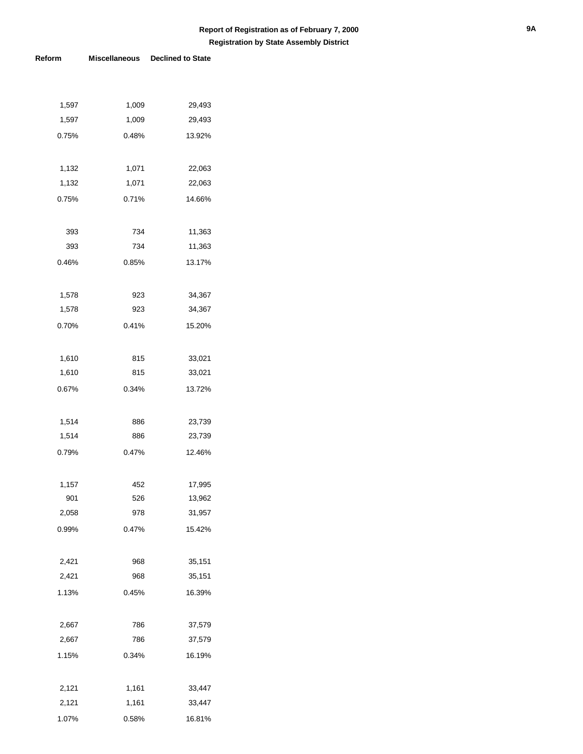| 1,597 | 1,009 | 29,493 |
|-------|-------|--------|
| 1,597 | 1,009 | 29,493 |
| 0.75% | 0.48% | 13.92% |
|       |       |        |
| 1,132 | 1,071 | 22,063 |
| 1,132 | 1,071 | 22,063 |
| 0.75% | 0.71% | 14.66% |
|       |       |        |
| 393   | 734   | 11,363 |
| 393   | 734   | 11,363 |
| 0.46% | 0.85% | 13.17% |
|       |       |        |
| 1,578 | 923   | 34,367 |
| 1,578 | 923   | 34,367 |
| 0.70% | 0.41% | 15.20% |
|       |       |        |
| 1,610 | 815   | 33,021 |
| 1,610 | 815   | 33,021 |
| 0.67% | 0.34% | 13.72% |
|       |       |        |
| 1,514 | 886   | 23,739 |
| 1,514 | 886   | 23,739 |
| 0.79% | 0.47% | 12.46% |
|       |       |        |
| 1,157 | 452   | 17,995 |
| 901   | 526   | 13,962 |
| 2,058 | 978   | 31,957 |
| 0.99% | 0.47% | 15.42% |
|       |       |        |
| 2,421 | 968   | 35,151 |
| 2,421 | 968   | 35,151 |
| 1.13% | 0.45% | 16.39% |
|       |       |        |
| 2,667 | 786   | 37,579 |
| 2,667 | 786   | 37,579 |
| 1.15% | 0.34% | 16.19% |
|       |       |        |
| 2,121 | 1,161 | 33,447 |
| 2,121 | 1,161 | 33,447 |
| 1.07% | 0.58% | 16.81% |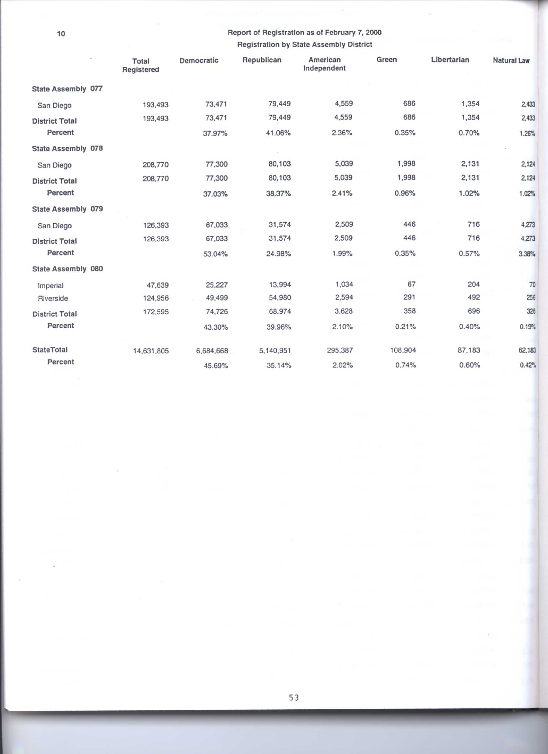$\bar{\nu}$ 

# Report of Registration as of February 7, 2000 **Registration by State Assembly District**

į,

 $\overline{\phantom{a}}$ 

 $\sim$ 

|                       | Total<br>Registered | Democratic | Republican | American<br>Independent | Green   | Libertarian | <b>Natural Law</b> |
|-----------------------|---------------------|------------|------------|-------------------------|---------|-------------|--------------------|
| State Assembly 077    |                     |            |            |                         |         |             |                    |
| San Diego             | 193,493             | 73,471     | 79,449     | 4,559                   | 686     | 1,354       | 2,433              |
| <b>District Total</b> | 193,493             | 73,471     | 79,449     | 4,559                   | 686     | 1,354       | 2,433              |
| Percent               |                     | 37.97%     | 41.06%     | 2.36%                   | 0.35%   | 0.70%       | 1.26%              |
| State Assembly 078    |                     |            |            |                         |         |             |                    |
| San Diego             | 208,770             | 77,300     | 80,103     | 5,039                   | 1,998   | 2,131       | 2,124              |
| <b>District Total</b> | 208,770             | 77,300     | 80,103     | 5,039                   | 1,998   | 2,131       | 2,124              |
| Percent               |                     | 37.03%     | 38.37%     | 2.41%                   | 0.96%   | 1.02%       | 1.02%              |
| State Assembly 079    |                     |            |            |                         |         |             |                    |
| San Diego             | 126,393             | 67,033     | 31,574     | 2,509                   | 446     | 716         | 4,273              |
| <b>District Total</b> | 126,393             | 67,033     | 31,574     | 2,509                   | 446     | 716         | 4,273              |
| Percent               |                     | 53.04%     | 24.98%     | 1.99%                   | 0.35%   | 0.57%       | 3.38%              |
| State Assembly 080    |                     |            |            |                         |         |             |                    |
| <i>Imperial</i>       | 47,639              | 25,227     | 13,994     | 1,034                   | 67      | 204         | 70                 |
| Riverside             | 124,956             | 49,499     | 54,980     | 2,594                   | 291     | 492         | 256                |
| <b>District Total</b> | 172,595             | 74,726     | 68,974     | 3,628                   | 358     | 696         | 326                |
| Percent               |                     | 43.30%     | 39.96%     | 2.10%                   | 0.21%   | 0.40%       | 0.19%              |
| <b>StateTotal</b>     | 14,631,805          | 6,684,668  | 5,140,951  | 295,387                 | 108,904 | 87,183      | 62,183             |
| Percent               |                     | 45.69%     | 35.14%     | 2.02%                   | 0.74%   | 0.60%       | 0.42%              |